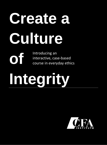# **Create a Culture**

Introducing an interactive, case-based course in everyday ethics

# **Integrity**

**of**

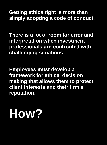**Getting ethics right is more than simply adopting a code of conduct.**

**There is a lot of room for error and interpretation when investment professionals are confronted with challenging situations.**

**Employees must develop a framework for ethical decision making that allows them to protect client interests and their firm's reputation.**

## **How?**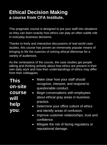#### **Ethical Decision Making a course from CFA Institute.**

This pragmatic course is designed to put your staff into situations so they can learn exactly how ethics can play an often subtle role in everyday business decisions.

Thanks to lively and interactive discussions of real-world case studies, this course has proven an immensely popular means of bringing to life the nuances of solving ethical dilemmas for a variety of audiences.

As the centerpiece of the course, the case studies get people talking and thinking actively about how ethics are present in their own daily work and how their understandings of ethics may differ from their colleagues.

**This on-site course will help you**: • Make clear how your staff should recognize, interpret, and respond to questionable conduct. • Begin conversations with employees about ethical gray areas in business practice. Determine your office culture of ethics and identify areas of confusion. • Improve customer relationships, trust and confidence.

> • Mitigate the risk of facing regulatory or reputational damage.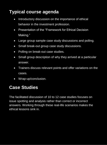### **Typical course agenda**

- Introductory discussion on the importance of ethical behavior in the investment profession.
- Presentation of the "Framework for Ethical Decision Making."
- Large group sample case study discussions and polling.
- Small break-out group case study discussions.
- Polling on break-out case studies.
- Small group description of why they arrived at a particular answer.
- Trainers discuss relevant points and offer variations on the cases.
- Wrap-up/conclusion.

#### **Case Studies**

The facilitated discussion of 10 to 12 case studies focuses on issue spotting and analysis rather than correct or incorrect answers. Working through these real-life scenarios makes the ethical lessons sink in.